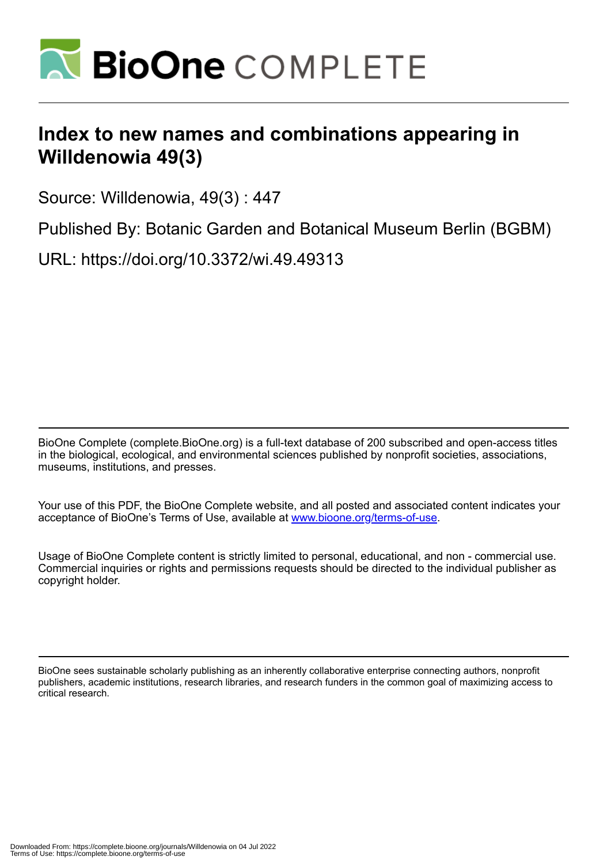

## **Index to new names and combinations appearing in Willdenowia 49(3)**

Source: Willdenowia, 49(3) : 447

Published By: Botanic Garden and Botanical Museum Berlin (BGBM)

URL: https://doi.org/10.3372/wi.49.49313

BioOne Complete (complete.BioOne.org) is a full-text database of 200 subscribed and open-access titles in the biological, ecological, and environmental sciences published by nonprofit societies, associations, museums, institutions, and presses.

Your use of this PDF, the BioOne Complete website, and all posted and associated content indicates your acceptance of BioOne's Terms of Use, available at www.bioone.org/terms-of-use.

Usage of BioOne Complete content is strictly limited to personal, educational, and non - commercial use. Commercial inquiries or rights and permissions requests should be directed to the individual publisher as copyright holder.

BioOne sees sustainable scholarly publishing as an inherently collaborative enterprise connecting authors, nonprofit publishers, academic institutions, research libraries, and research funders in the common goal of maximizing access to critical research.